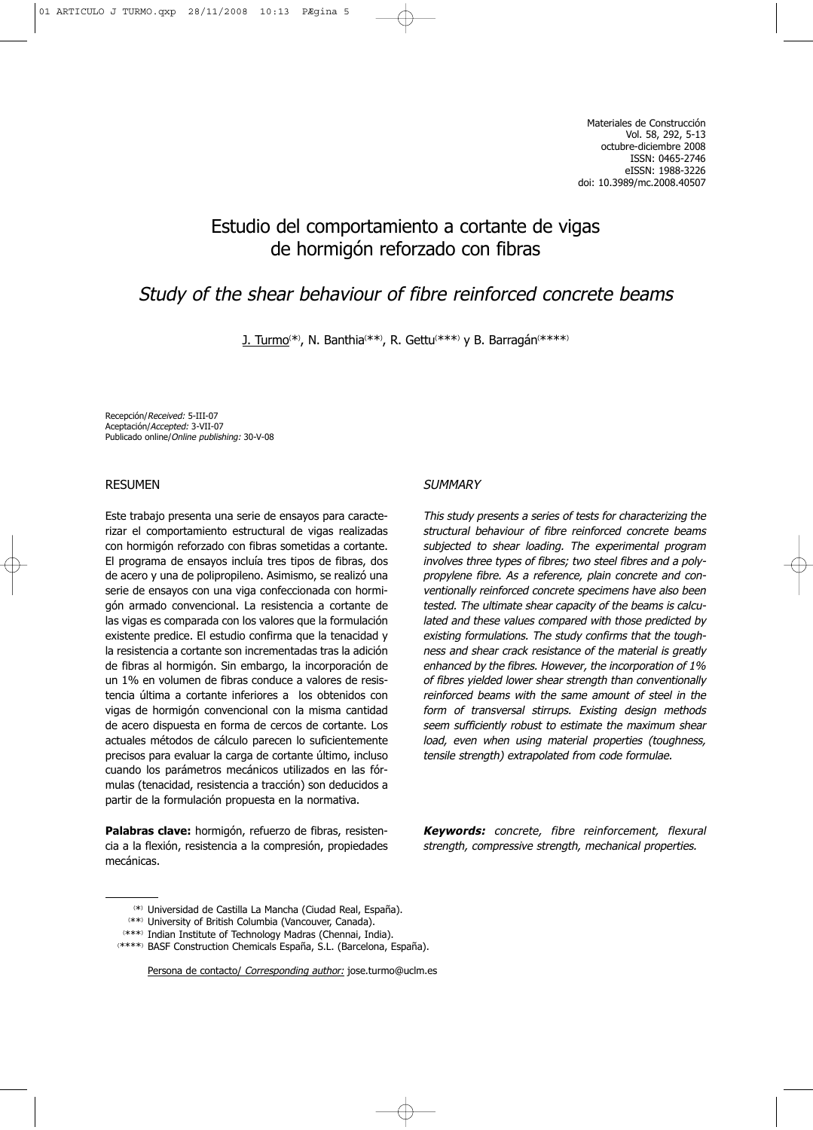# Estudio del comportamiento a cortante de vigas de hormigón reforzado con fibras

# Study of the shear behaviour of fibre reinforced concrete beams

<u>J. Turmo</u>(\*), N. Banthia(\*\*), R. Gettu(\*\*\*) y B. Barragán(\*\*\*\*)

Recepción/Received: 5-III-07 Aceptación/Accepted: 3-VII-07 Publicado online/Online publishing: 30-V-08

# RESUMEN

Este trabajo presenta una serie de ensayos para caracterizar el comportamiento estructural de vigas realizadas con hormigón reforzado con fibras sometidas a cortante. El programa de ensayos incluía tres tipos de fibras, dos de acero y una de polipropileno. Asimismo, se realizó una serie de ensayos con una viga confeccionada con hormigón armado convencional. La resistencia a cortante de las vigas es comparada con los valores que la formulación existente predice. El estudio confirma que la tenacidad y la resistencia a cortante son incrementadas tras la adición de fibras al hormigón. Sin embargo, la incorporación de un 1% en volumen de fibras conduce a valores de resistencia última a cortante inferiores a los obtenidos con vigas de hormigón convencional con la misma cantidad de acero dispuesta en forma de cercos de cortante. Los actuales métodos de cálculo parecen lo suficientemente precisos para evaluar la carga de cortante último, incluso cuando los parámetros mecánicos utilizados en las fórmulas (tenacidad, resistencia a tracción) son deducidos a partir de la formulación propuesta en la normativa.

**Palabras clave:** hormigón, refuerzo de fibras, resistencia a la flexión, resistencia a la compresión, propiedades mecánicas.

#### **SUMMARY**

This study presents a series of tests for characterizing the structural behaviour of fibre reinforced concrete beams subjected to shear loading. The experimental program involves three types of fibres; two steel fibres and a polypropylene fibre. As a reference, plain concrete and conventionally reinforced concrete specimens have also been tested. The ultimate shear capacity of the beams is calculated and these values compared with those predicted by existing formulations. The study confirms that the toughness and shear crack resistance of the material is greatly enhanced by the fibres. However, the incorporation of 1% of fibres yielded lower shear strength than conventionally reinforced beams with the same amount of steel in the form of transversal stirrups. Existing design methods seem sufficiently robust to estimate the maximum shear load, even when using material properties (toughness, tensile strength) extrapolated from code formulae.

**Keywords:** concrete, fibre reinforcement, flexural strength, compressive strength, mechanical properties.

<sup>(</sup> \*) Universidad de Castilla La Mancha (Ciudad Real, España).

<sup>(</sup> \*\*) University of British Columbia (Vancouver, Canada).

<sup>(</sup> \*\*\*) Indian Institute of Technology Madras (Chennai, India).

<sup>(</sup> \*\*\*\*) BASF Construction Chemicals España, S.L. (Barcelona, España).

Persona de contacto/ Corresponding author: jose.turmo@uclm.es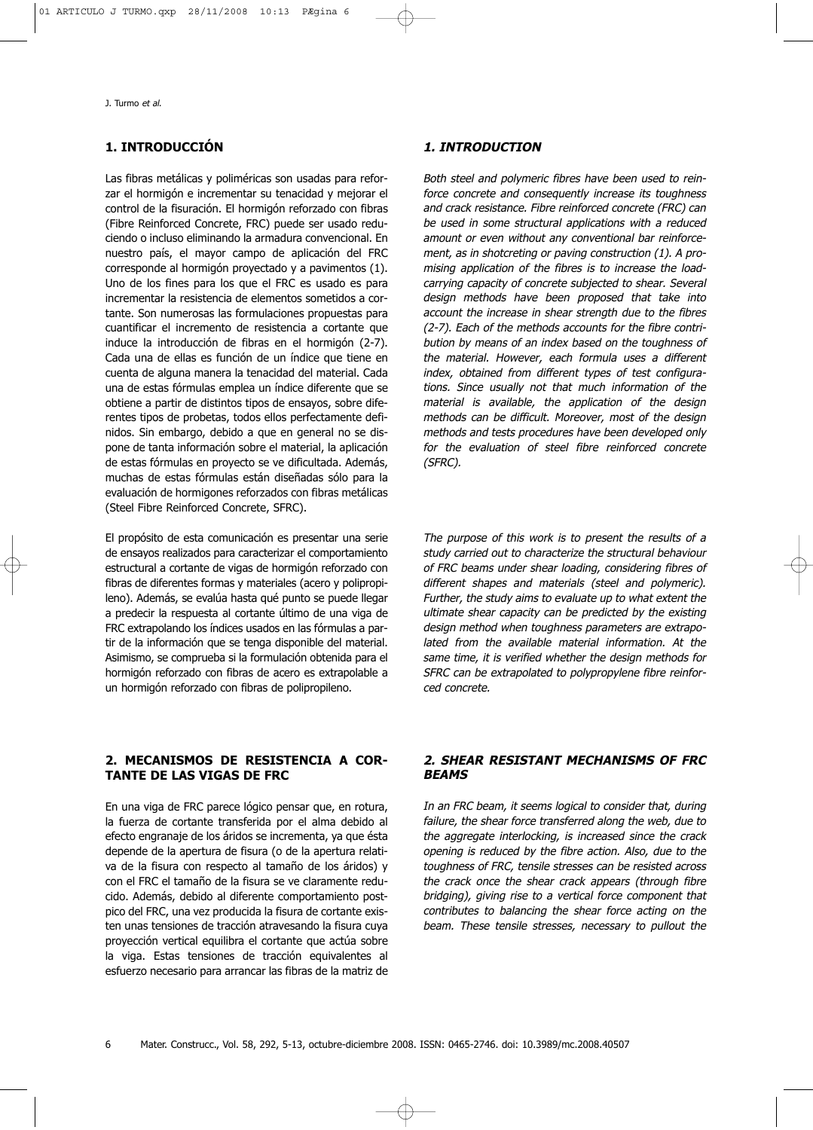# **1. INTRODUCCIÓN**

Las fibras metálicas y poliméricas son usadas para reforzar el hormigón e incrementar su tenacidad y mejorar el control de la fisuración. El hormigón reforzado con fibras (Fibre Reinforced Concrete, FRC) puede ser usado reduciendo o incluso eliminando la armadura convencional. En nuestro país, el mayor campo de aplicación del FRC corresponde al hormigón proyectado y a pavimentos (1). Uno de los fines para los que el FRC es usado es para incrementar la resistencia de elementos sometidos a cortante. Son numerosas las formulaciones propuestas para cuantificar el incremento de resistencia a cortante que induce la introducción de fibras en el hormigón (2-7). Cada una de ellas es función de un índice que tiene en cuenta de alguna manera la tenacidad del material. Cada una de estas fórmulas emplea un índice diferente que se obtiene a partir de distintos tipos de ensayos, sobre diferentes tipos de probetas, todos ellos perfectamente definidos. Sin embargo, debido a que en general no se dispone de tanta información sobre el material, la aplicación de estas fórmulas en proyecto se ve dificultada. Además, muchas de estas fórmulas están diseñadas sólo para la evaluación de hormigones reforzados con fibras metálicas (Steel Fibre Reinforced Concrete, SFRC).

El propósito de esta comunicación es presentar una serie de ensayos realizados para caracterizar el comportamiento estructural a cortante de vigas de hormigón reforzado con fibras de diferentes formas y materiales (acero y polipropileno). Además, se evalúa hasta qué punto se puede llegar a predecir la respuesta al cortante último de una viga de FRC extrapolando los índices usados en las fórmulas a partir de la información que se tenga disponible del material. Asimismo, se comprueba si la formulación obtenida para el hormigón reforzado con fibras de acero es extrapolable a un hormigón reforzado con fibras de polipropileno.

## **2. MECANISMOS DE RESISTENCIA A COR-TANTE DE LAS VIGAS DE FRC**

En una viga de FRC parece lógico pensar que, en rotura, la fuerza de cortante transferida por el alma debido al efecto engranaje de los áridos se incrementa, ya que ésta depende de la apertura de fisura (o de la apertura relativa de la fisura con respecto al tamaño de los áridos) y con el FRC el tamaño de la fisura se ve claramente reducido. Además, debido al diferente comportamiento postpico del FRC, una vez producida la fisura de cortante existen unas tensiones de tracción atravesando la fisura cuya proyección vertical equilibra el cortante que actúa sobre la viga. Estas tensiones de tracción equivalentes al esfuerzo necesario para arrancar las fibras de la matriz de

#### **1. INTRODUCTION**

Both steel and polymeric fibres have been used to reinforce concrete and consequently increase its toughness and crack resistance. Fibre reinforced concrete (FRC) can be used in some structural applications with a reduced amount or even without any conventional bar reinforcement, as in shotcreting or paving construction (1). A promising application of the fibres is to increase the loadcarrying capacity of concrete subjected to shear. Several design methods have been proposed that take into account the increase in shear strength due to the fibres (2-7). Each of the methods accounts for the fibre contribution by means of an index based on the toughness of the material. However, each formula uses a different index, obtained from different types of test configurations. Since usually not that much information of the material is available, the application of the design methods can be difficult. Moreover, most of the design methods and tests procedures have been developed only for the evaluation of steel fibre reinforced concrete (SFRC).

The purpose of this work is to present the results of a study carried out to characterize the structural behaviour of FRC beams under shear loading, considering fibres of different shapes and materials (steel and polymeric). Further, the study aims to evaluate up to what extent the ultimate shear capacity can be predicted by the existing design method when toughness parameters are extrapolated from the available material information. At the same time, it is verified whether the design methods for SFRC can be extrapolated to polypropylene fibre reinforced concrete.

## **2. SHEAR RESISTANT MECHANISMS OF FRC BEAMS**

In an FRC beam, it seems logical to consider that, during failure, the shear force transferred along the web, due to the aggregate interlocking, is increased since the crack opening is reduced by the fibre action. Also, due to the toughness of FRC, tensile stresses can be resisted across the crack once the shear crack appears (through fibre bridging), giving rise to a vertical force component that contributes to balancing the shear force acting on the beam. These tensile stresses, necessary to pullout the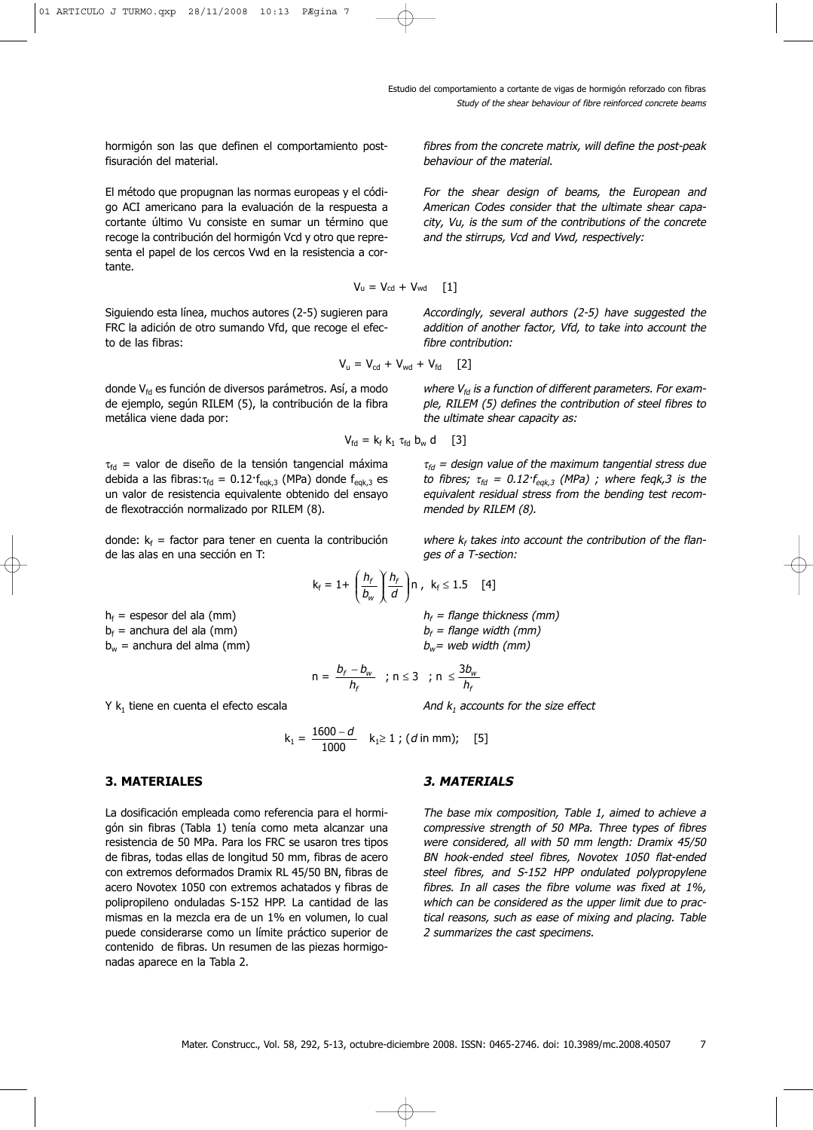hormigón son las que definen el comportamiento postfisuración del material.

El método que propugnan las normas europeas y el código ACI americano para la evaluación de la respuesta a cortante último Vu consiste en sumar un término que recoge la contribución del hormigón Vcd y otro que representa el papel de los cercos Vwd en la resistencia a cortante.

Siguiendo esta línea, muchos autores (2-5) sugieren para FRC la adición de otro sumando Vfd, que recoge el efecto de las fibras:

donde  $V_{fd}$  es función de diversos parámetros. Así, a modo de ejemplo, según RILEM (5), la contribución de la fibra metálica viene dada por:

 $\tau_{\text{fd}}$  = valor de diseño de la tensión tangencial máxima debida a las fibras: $\tau_{\text{fd}} = 0.12 \cdot f_{\text{eqk},3}$  (MPa) donde  $f_{\text{eqk},3}$  es un valor de resistencia equivalente obtenido del ensayo de flexotracción normalizado por RILEM (8).

donde:  $k_f$  = factor para tener en cuenta la contribución de las alas en una sección en T:

 $h_f$  = espesor del ala (mm)  $b_f$  = anchura del ala (mm)

 $b_w$  = anchura del alma (mm)

 $Y$  k<sub>1</sub> tiene en cuenta el efecto escala

$$
k_1 = \frac{1600 - d}{1000} \quad k_1 \ge 1 \; ; \; (d \text{ in mm}); \quad [5]
$$

## **3. MATERIALES**

La dosificación empleada como referencia para el hormigón sin fibras (Tabla 1) tenía como meta alcanzar una resistencia de 50 MPa. Para los FRC se usaron tres tipos de fibras, todas ellas de longitud 50 mm, fibras de acero con extremos deformados Dramix RL 45/50 BN, fibras de acero Novotex 1050 con extremos achatados y fibras de polipropileno onduladas S-152 HPP. La cantidad de las mismas en la mezcla era de un 1% en volumen, lo cual puede considerarse como un límite práctico superior de contenido de fibras. Un resumen de las piezas hormigonadas aparece en la Tabla 2.

fibres from the concrete matrix, will define the post-peak behaviour of the material.

For the shear design of beams, the European and American Codes consider that the ultimate shear capacity, Vu, is the sum of the contributions of the concrete and the stirrups, Vcd and Vwd, respectively:

$$
V_u = V_{cd} + V_{wd} \qquad [1]
$$

Accordingly, several authors (2-5) have suggested the addition of another factor, Vfd, to take into account the fibre contribution:

$$
V_{u} = V_{cd} + V_{wd} + V_{fd} \quad [2]
$$

where  $V_{fd}$  is a function of different parameters. For example, RILEM (5) defines the contribution of steel fibres to the ultimate shear capacity as:

$$
V_{\text{fd}} = k_{\text{f}} k_1 \tau_{\text{fd}} b_{\text{w}} d \quad [3]
$$

 $\tau_{fd}$  = design value of the maximum tangential stress due to fibres;  $\tau_{fd} = 0.12 \tau_{eqk,3}$  (MPa); where feqk,3 is the equivalent residual stress from the bending test recommended by RILEM (8).

where  $k_f$  takes into account the contribution of the flanges of a T-section:

$$
k_f = 1 + \left(\frac{h_f}{b_w}\right)\left(\frac{h_f}{d}\right)n, \ \ k_f \le 1.5 \quad [4]
$$

 $h_f$  = flange thickness (mm)  $b_f$  = flange width (mm)  $b_w$ = web width (mm)

$$
n = \frac{b_f - b_w}{h_f} \quad ; \ n \leq 3 \quad ; \ n \leq \frac{3b_w}{h_f}
$$

And  $k_1$  accounts for the size effect

$$
K_1 \geq 1 ; (a \text{ in mm}); \quad [3]
$$

# **3. MATERIALS**

The base mix composition, Table 1, aimed to achieve a compressive strength of 50 MPa. Three types of fibres were considered, all with 50 mm length: Dramix 45/50 BN hook-ended steel fibres, Novotex 1050 flat-ended steel fibres, and S-152 HPP ondulated polypropylene fibres. In all cases the fibre volume was fixed at 1%, which can be considered as the upper limit due to practical reasons, such as ease of mixing and placing. Table 2 summarizes the cast specimens.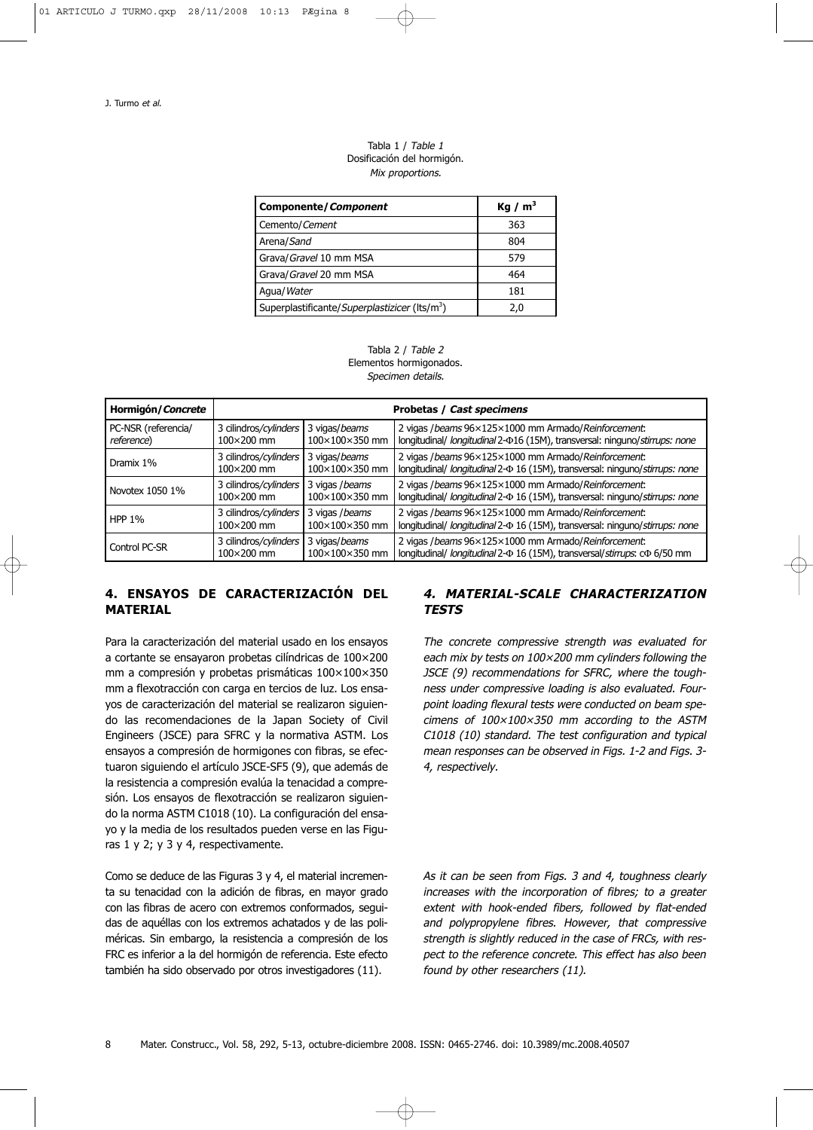#### Tabla 1 / Table 1 Dosificación del hormigón. Mix proportions.

| <b>Componente/Component</b>                               | Kg / $m3$ |
|-----------------------------------------------------------|-----------|
| Cemento/Cement                                            | 363       |
| Arena/Sand                                                | 804       |
| Grava/Gravel 10 mm MSA                                    | 579       |
| Grava/Gravel 20 mm MSA                                    | 464       |
| Agua/Water                                                | 181       |
| Superplastificante/Superplastizicer (lts/m <sup>3</sup> ) | 2.0       |



| Hormigón/Concrete   | Probetas / Cast specimens |                 |                                                                                       |
|---------------------|---------------------------|-----------------|---------------------------------------------------------------------------------------|
| PC-NSR (referencia/ | 3 cilindros/cylinders     | 3 vigas/beams   | 2 vigas / beams 96×125×1000 mm Armado/ Reinforcement:                                 |
| reference)          | $100\times200$ mm         | 100×100×350 mm  | longitudinal/ longitudinal 2- $\Phi$ 16 (15M), transversal: ninguno/stirrups: none    |
| Dramix 1%           | 3 cilindros/cylinders     | 3 vigas/beams   | 2 vigas / beams 96×125×1000 mm Armado/Reinforcement:                                  |
|                     | 100×200 mm                | 100×100×350 mm  | longitudinal/ longitudinal 2- $\Phi$ 16 (15M), transversal: ninguno/stirrups: none    |
| Novotex 1050 1%     | 3 cilindros/cylinders     | 3 vigas / beams | 2 vigas / beams 96×125×1000 mm Armado/ Reinforcement:                                 |
|                     | 100×200 mm                | 100×100×350 mm  | longitudinal/ longitudinal 2- $\Phi$ 16 (15M), transversal: ninguno/stirrups: none    |
| <b>HPP 1%</b>       | 3 cilindros/cylinders     | 3 vigas / beams | 2 vigas / beams 96×125×1000 mm Armado/Reinforcement:                                  |
|                     | 100×200 mm                | 100×100×350 mm  | longitudinal/ longitudinal 2- $\Phi$ 16 (15M), transversal: ninguno/stirrups: none    |
| Control PC-SR       | 3 cilindros/cylinders     | 3 vigas/beams   | 2 vigas / beams 96×125×1000 mm Armado/Reinforcement:                                  |
|                     | 100×200 mm                | 100×100×350 mm  | longitudinal/ longitudinal 2- $\Phi$ 16 (15M), transversal/stirrups: c $\Phi$ 6/50 mm |

# **4. ENSAYOS DE CARACTERIZACIÓN DEL MATERIAL**

Para la caracterización del material usado en los ensayos a cortante se ensayaron probetas cilíndricas de 100×200 mm a compresión y probetas prismáticas 100×100×350 mm a flexotracción con carga en tercios de luz. Los ensayos de caracterización del material se realizaron siguiendo las recomendaciones de la Japan Society of Civil Engineers (JSCE) para SFRC y la normativa ASTM. Los ensayos a compresión de hormigones con fibras, se efectuaron siguiendo el artículo JSCE-SF5 (9), que además de la resistencia a compresión evalúa la tenacidad a compresión. Los ensayos de flexotracción se realizaron siguiendo la norma ASTM C1018 (10). La configuración del ensayo y la media de los resultados pueden verse en las Figuras 1 y 2; y 3 y 4, respectivamente.

Como se deduce de las Figuras 3 y 4, el material incrementa su tenacidad con la adición de fibras, en mayor grado con las fibras de acero con extremos conformados, seguidas de aquéllas con los extremos achatados y de las poliméricas. Sin embargo, la resistencia a compresión de los FRC es inferior a la del hormigón de referencia. Este efecto también ha sido observado por otros investigadores (11).

# **4. MATERIAL-SCALE CHARACTERIZATION TESTS**

The concrete compressive strength was evaluated for each mix by tests on 100×200 mm cylinders following the JSCE (9) recommendations for SFRC, where the toughness under compressive loading is also evaluated. Fourpoint loading flexural tests were conducted on beam specimens of 100×100×350 mm according to the ASTM C1018 (10) standard. The test configuration and typical mean responses can be observed in Figs. 1-2 and Figs. 3- 4, respectively.

As it can be seen from Figs. 3 and 4, toughness clearly increases with the incorporation of fibres; to a greater extent with hook-ended fibers, followed by flat-ended and polypropylene fibres. However, that compressive strength is slightly reduced in the case of FRCs, with respect to the reference concrete. This effect has also been found by other researchers (11).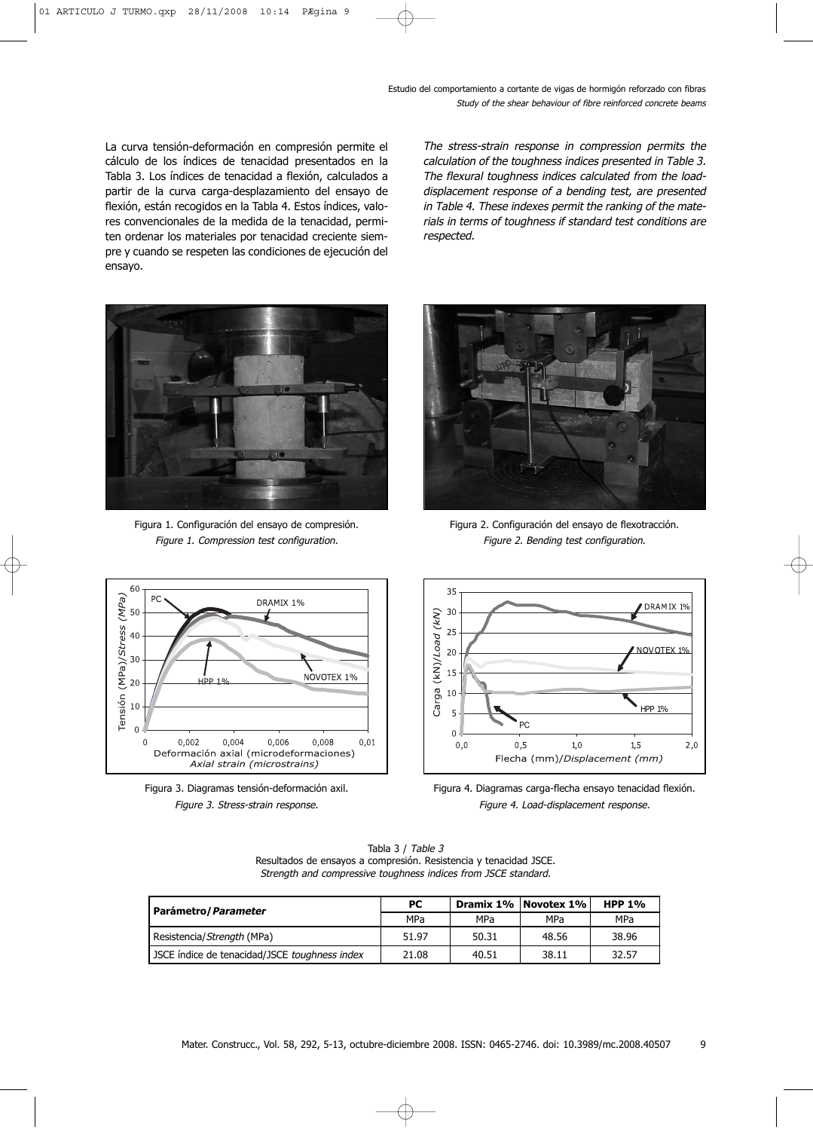La curva tensión-deformación en compresión permite el cálculo de los índices de tenacidad presentados en la Tabla 3. Los índices de tenacidad a flexión, calculados a partir de la curva carga-desplazamiento del ensayo de flexión, están recogidos en la Tabla 4. Estos índices, valores convencionales de la medida de la tenacidad, permiten ordenar los materiales por tenacidad creciente siempre y cuando se respeten las condiciones de ejecución del ensayo.

The stress-strain response in compression permits the calculation of the toughness indices presented in Table 3. The flexural toughness indices calculated from the loaddisplacement response of a bending test, are presented in Table 4. These indexes permit the ranking of the materials in terms of toughness if standard test conditions are respected.



Figura 1. Configuración del ensayo de compresión. Figure 1. Compression test configuration.



Figura 2. Configuración del ensayo de flexotracción. Figure 2. Bending test configuration.







Figura 4. Diagramas carga-flecha ensayo tenacidad flexión. Figure 4. Load-displacement response.

| Parámetro / Parameter                         | PC.   |       | Dramix 1%   Novotex 1% | <b>HPP 1%</b> |
|-----------------------------------------------|-------|-------|------------------------|---------------|
|                                               | MPa   | MPa   | MPa                    | MPa           |
| Resistencia/Strength (MPa)                    | 51.97 | 50.31 | 48.56                  | 38.96         |
| JSCE índice de tenacidad/JSCE toughness index | 21.08 | 40.51 | 38.11                  | 32.57         |

Tabla 3 / Table 3 Resultados de ensayos a compresión. Resistencia y tenacidad JSCE. Strength and compressive toughness indices from JSCE standard.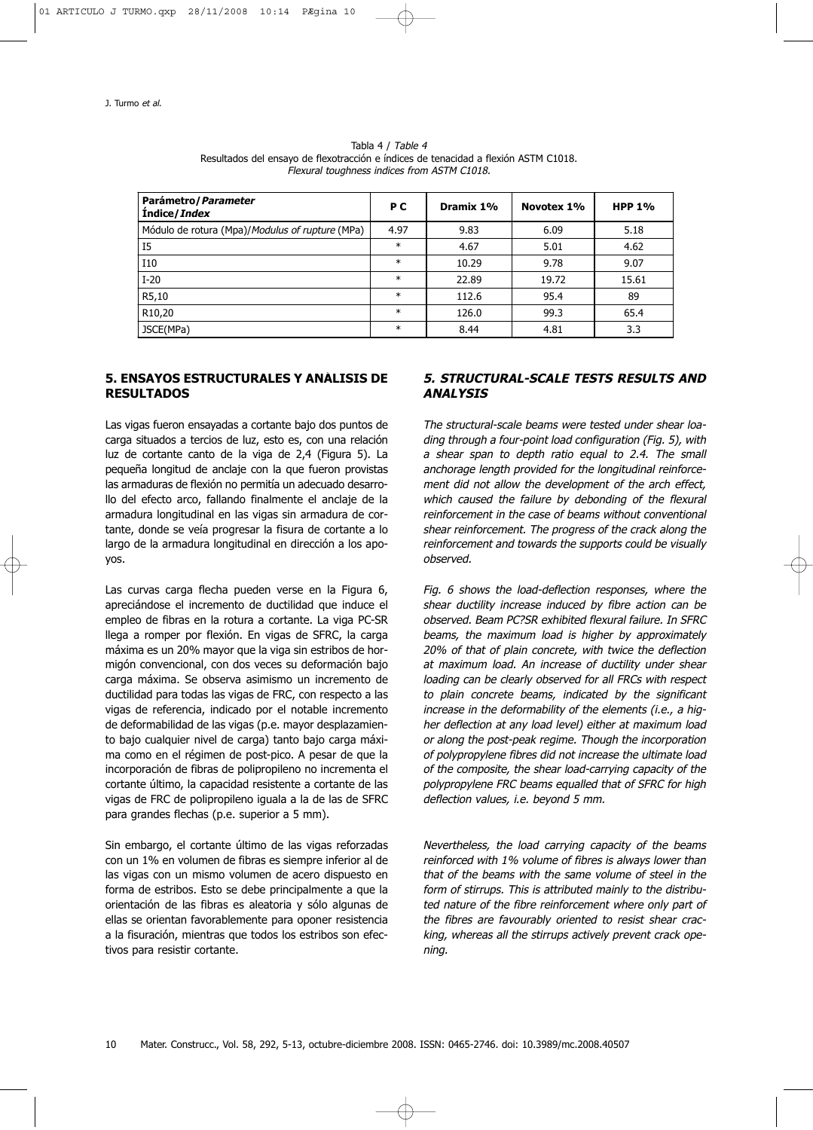| Parámetro / Parameter<br><b>Indice/Index</b>    | P C    | Dramix 1% | Novotex 1% | <b>HPP 1%</b> |
|-------------------------------------------------|--------|-----------|------------|---------------|
| Módulo de rotura (Mpa)/Modulus of rupture (MPa) | 4.97   | 9.83      | 6.09       | 5.18          |
| <b>I5</b>                                       | $\ast$ | 4.67      | 5.01       | 4.62          |
| I10                                             | $\ast$ | 10.29     | 9.78       | 9.07          |
| $I-20$                                          | $\ast$ | 22.89     | 19.72      | 15.61         |
| R5,10                                           | $\ast$ | 112.6     | 95.4       | 89            |
| R <sub>10</sub> ,20                             | $\ast$ | 126.0     | 99.3       | 65.4          |
| JSCE(MPa)                                       | $\ast$ | 8.44      | 4.81       | 3.3           |

Tabla 4 / Table 4 Resultados del ensayo de flexotracción e índices de tenacidad a flexión ASTM C1018. Flexural toughness indices from ASTM C1018.

## **5. ENSAYOS ESTRUCTURALES Y ANÁLISIS DE RESULTADOS**

Las vigas fueron ensayadas a cortante bajo dos puntos de carga situados a tercios de luz, esto es, con una relación luz de cortante canto de la viga de 2,4 (Figura 5). La pequeña longitud de anclaje con la que fueron provistas las armaduras de flexión no permitía un adecuado desarrollo del efecto arco, fallando finalmente el anclaje de la armadura longitudinal en las vigas sin armadura de cortante, donde se veía progresar la fisura de cortante a lo largo de la armadura longitudinal en dirección a los apoyos.

Las curvas carga flecha pueden verse en la Figura 6, apreciándose el incremento de ductilidad que induce el empleo de fibras en la rotura a cortante. La viga PC-SR llega a romper por flexión. En vigas de SFRC, la carga máxima es un 20% mayor que la viga sin estribos de hormigón convencional, con dos veces su deformación bajo carga máxima. Se observa asimismo un incremento de ductilidad para todas las vigas de FRC, con respecto a las vigas de referencia, indicado por el notable incremento de deformabilidad de las vigas (p.e. mayor desplazamiento bajo cualquier nivel de carga) tanto bajo carga máxima como en el régimen de post-pico. A pesar de que la incorporación de fibras de polipropileno no incrementa el cortante último, la capacidad resistente a cortante de las vigas de FRC de polipropileno iguala a la de las de SFRC para grandes flechas (p.e. superior a 5 mm).

Sin embargo, el cortante último de las vigas reforzadas con un 1% en volumen de fibras es siempre inferior al de las vigas con un mismo volumen de acero dispuesto en forma de estribos. Esto se debe principalmente a que la orientación de las fibras es aleatoria y sólo algunas de ellas se orientan favorablemente para oponer resistencia a la fisuración, mientras que todos los estribos son efectivos para resistir cortante.

## **5. STRUCTURAL-SCALE TESTS RESULTS AND ANALYSIS**

The structural-scale beams were tested under shear loading through a four-point load configuration (Fig. 5), with a shear span to depth ratio equal to 2.4. The small anchorage length provided for the longitudinal reinforcement did not allow the development of the arch effect, which caused the failure by debonding of the flexural reinforcement in the case of beams without conventional shear reinforcement. The progress of the crack along the reinforcement and towards the supports could be visually observed.

Fig. 6 shows the load-deflection responses, where the shear ductility increase induced by fibre action can be observed. Beam PC?SR exhibited flexural failure. In SFRC beams, the maximum load is higher by approximately 20% of that of plain concrete, with twice the deflection at maximum load. An increase of ductility under shear loading can be clearly observed for all FRCs with respect to plain concrete beams, indicated by the significant increase in the deformability of the elements (i.e., a higher deflection at any load level) either at maximum load or along the post-peak regime. Though the incorporation of polypropylene fibres did not increase the ultimate load of the composite, the shear load-carrying capacity of the polypropylene FRC beams equalled that of SFRC for high deflection values, i.e. beyond 5 mm.

Nevertheless, the load carrying capacity of the beams reinforced with 1% volume of fibres is always lower than that of the beams with the same volume of steel in the form of stirrups. This is attributed mainly to the distributed nature of the fibre reinforcement where only part of the fibres are favourably oriented to resist shear cracking, whereas all the stirrups actively prevent crack opening.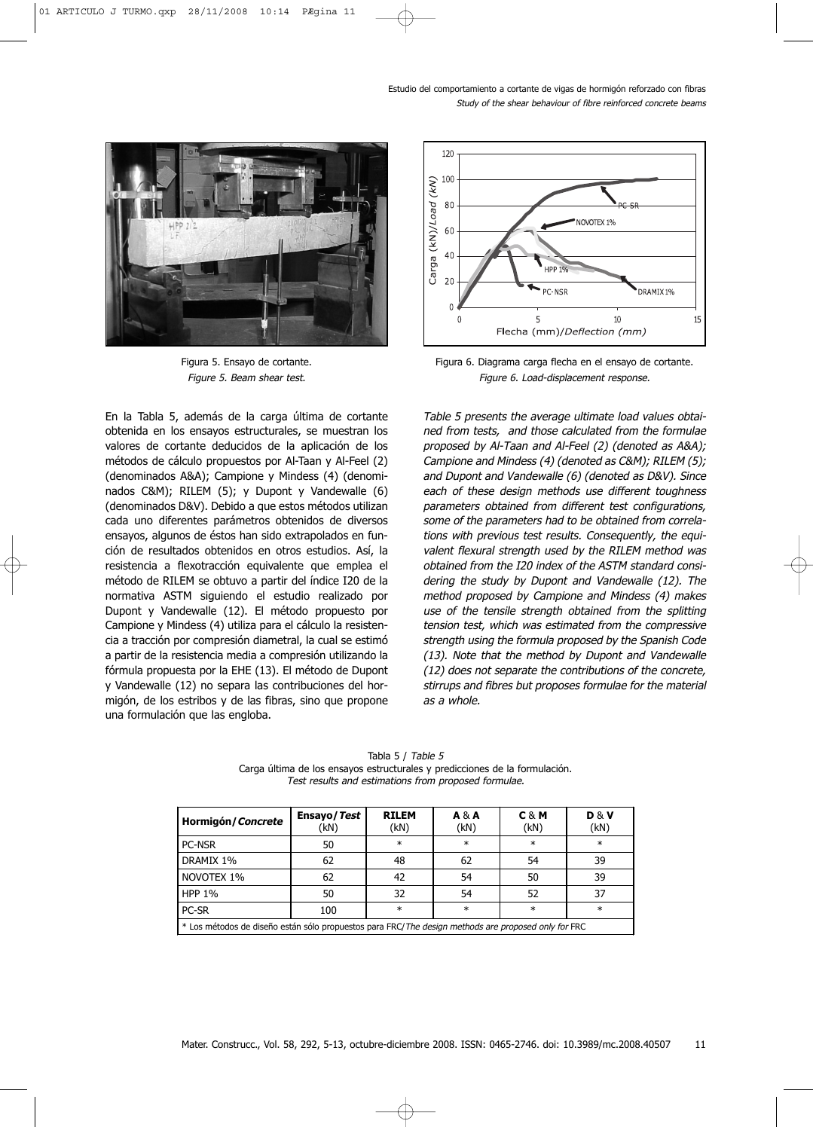

Figura 5. Ensayo de cortante. Figure 5. Beam shear test.

En la Tabla 5, además de la carga última de cortante obtenida en los ensayos estructurales, se muestran los valores de cortante deducidos de la aplicación de los métodos de cálculo propuestos por Al-Taan y Al-Feel (2) (denominados A&A); Campione y Mindess (4) (denominados C&M); RILEM (5); y Dupont y Vandewalle (6) (denominados D&V). Debido a que estos métodos utilizan cada uno diferentes parámetros obtenidos de diversos ensayos, algunos de éstos han sido extrapolados en función de resultados obtenidos en otros estudios. Así, la resistencia a flexotracción equivalente que emplea el método de RILEM se obtuvo a partir del índice I20 de la normativa ASTM siguiendo el estudio realizado por Dupont y Vandewalle (12). El método propuesto por Campione y Mindess (4) utiliza para el cálculo la resistencia a tracción por compresión diametral, la cual se estimó a partir de la resistencia media a compresión utilizando la fórmula propuesta por la EHE (13). El método de Dupont y Vandewalle (12) no separa las contribuciones del hormigón, de los estribos y de las fibras, sino que propone una formulación que las engloba.



Figura 6. Diagrama carga flecha en el ensayo de cortante. Figure 6. Load-displacement response.

Table 5 presents the average ultimate load values obtained from tests, and those calculated from the formulae proposed by Al-Taan and Al-Feel (2) (denoted as A&A); Campione and Mindess (4) (denoted as C&M); RILEM (5); and Dupont and Vandewalle (6) (denoted as D&V). Since each of these design methods use different toughness parameters obtained from different test configurations, some of the parameters had to be obtained from correlations with previous test results. Consequently, the equivalent flexural strength used by the RILEM method was obtained from the I20 index of the ASTM standard considering the study by Dupont and Vandewalle (12). The method proposed by Campione and Mindess (4) makes use of the tensile strength obtained from the splitting tension test, which was estimated from the compressive strength using the formula proposed by the Spanish Code (13). Note that the method by Dupont and Vandewalle (12) does not separate the contributions of the concrete, stirrups and fibres but proposes formulae for the material as a whole.

Tabla 5 / Table 5 Carga última de los ensayos estructurales y predicciones de la formulación. Test results and estimations from proposed formulae.

| Hormigón/Concrete                                                                                   | Ensayo/Test<br>(kN) | <b>RILEM</b><br>(kN) | $A \& A$<br>(kN) | C&M<br>(kN) | <b>D&amp;V</b><br>(kN) |
|-----------------------------------------------------------------------------------------------------|---------------------|----------------------|------------------|-------------|------------------------|
| <b>PC-NSR</b>                                                                                       | 50                  | $\ast$               | $\ast$           | $\ast$      | $\ast$                 |
| DRAMIX 1%                                                                                           | 62                  | 48                   | 62               | 54          | 39                     |
| NOVOTEX 1%                                                                                          | 62                  | 42                   | 54               | 50          | 39                     |
| <b>HPP 1%</b>                                                                                       | 50                  | 32                   | 54               | 52          | 37                     |
| PC-SR                                                                                               | 100                 | $\ast$               | $\ast$           | $\ast$      | $\ast$                 |
| * Los métodos de diseño están sólo propuestos para FRC/The design methods are proposed only for FRC |                     |                      |                  |             |                        |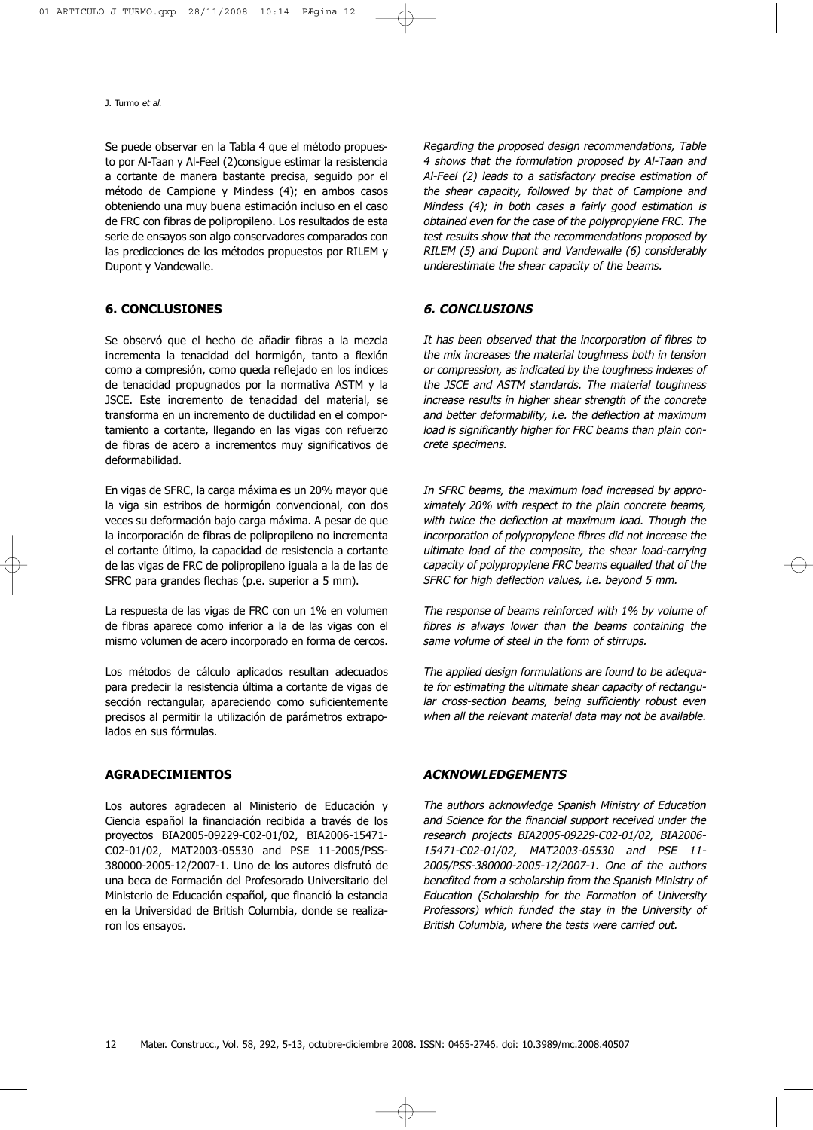Se puede observar en la Tabla 4 que el método propuesto por Al-Taan y Al-Feel (2)consigue estimar la resistencia a cortante de manera bastante precisa, seguido por el método de Campione y Mindess (4); en ambos casos obteniendo una muy buena estimación incluso en el caso de FRC con fibras de polipropileno. Los resultados de esta serie de ensayos son algo conservadores comparados con las predicciones de los métodos propuestos por RILEM y Dupont y Vandewalle.

## **6. CONCLUSIONES**

Se observó que el hecho de añadir fibras a la mezcla incrementa la tenacidad del hormigón, tanto a flexión como a compresión, como queda reflejado en los índices de tenacidad propugnados por la normativa ASTM y la JSCE. Este incremento de tenacidad del material, se transforma en un incremento de ductilidad en el comportamiento a cortante, llegando en las vigas con refuerzo de fibras de acero a incrementos muy significativos de deformabilidad.

En vigas de SFRC, la carga máxima es un 20% mayor que la viga sin estribos de hormigón convencional, con dos veces su deformación bajo carga máxima. A pesar de que la incorporación de fibras de polipropileno no incrementa el cortante último, la capacidad de resistencia a cortante de las vigas de FRC de polipropileno iguala a la de las de SFRC para grandes flechas (p.e. superior a 5 mm).

La respuesta de las vigas de FRC con un 1% en volumen de fibras aparece como inferior a la de las vigas con el mismo volumen de acero incorporado en forma de cercos.

Los métodos de cálculo aplicados resultan adecuados para predecir la resistencia última a cortante de vigas de sección rectangular, apareciendo como suficientemente precisos al permitir la utilización de parámetros extrapolados en sus fórmulas.

## **AGRADECIMIENTOS**

Los autores agradecen al Ministerio de Educación y Ciencia español la financiación recibida a través de los proyectos BIA2005-09229-C02-01/02, BIA2006-15471- C02-01/02, MAT2003-05530 and PSE 11-2005/PSS-380000-2005-12/2007-1. Uno de los autores disfrutó de una beca de Formación del Profesorado Universitario del Ministerio de Educación español, que financió la estancia en la Universidad de British Columbia, donde se realizaron los ensayos.

Regarding the proposed design recommendations, Table 4 shows that the formulation proposed by Al-Taan and Al-Feel (2) leads to a satisfactory precise estimation of the shear capacity, followed by that of Campione and Mindess (4); in both cases a fairly good estimation is obtained even for the case of the polypropylene FRC. The test results show that the recommendations proposed by RILEM (5) and Dupont and Vandewalle (6) considerably underestimate the shear capacity of the beams.

## **6. CONCLUSIONS**

It has been observed that the incorporation of fibres to the mix increases the material toughness both in tension or compression, as indicated by the toughness indexes of the JSCE and ASTM standards. The material toughness increase results in higher shear strength of the concrete and better deformability, i.e. the deflection at maximum load is significantly higher for FRC beams than plain concrete specimens.

In SFRC beams, the maximum load increased by approximately 20% with respect to the plain concrete beams, with twice the deflection at maximum load. Though the incorporation of polypropylene fibres did not increase the ultimate load of the composite, the shear load-carrying capacity of polypropylene FRC beams equalled that of the SFRC for high deflection values, i.e. beyond 5 mm.

The response of beams reinforced with 1% by volume of fibres is always lower than the beams containing the same volume of steel in the form of stirrups.

The applied design formulations are found to be adequate for estimating the ultimate shear capacity of rectangular cross-section beams, being sufficiently robust even when all the relevant material data may not be available.

## **ACKNOWLEDGEMENTS**

The authors acknowledge Spanish Ministry of Education and Science for the financial support received under the research projects BIA2005-09229-C02-01/02, BIA2006- 15471-C02-01/02, MAT2003-05530 and PSE 11- 2005/PSS-380000-2005-12/2007-1. One of the authors benefited from a scholarship from the Spanish Ministry of Education (Scholarship for the Formation of University Professors) which funded the stay in the University of British Columbia, where the tests were carried out.